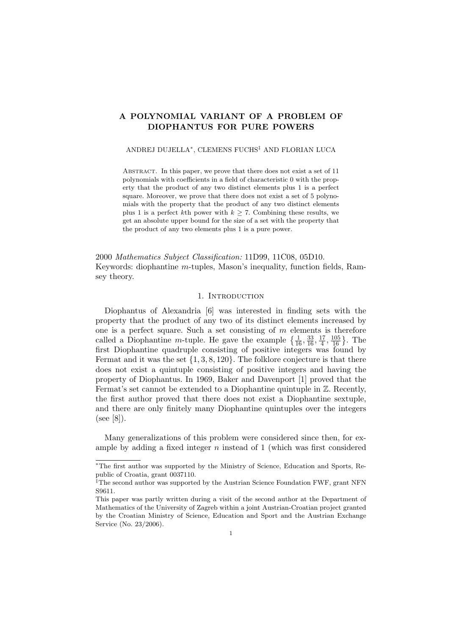# A POLYNOMIAL VARIANT OF A PROBLEM OF DIOPHANTUS FOR PURE POWERS

### ANDREJ DUJELLA\*, CLEMENS FUCHS<sup>‡</sup> AND FLORIAN LUCA

Abstract. In this paper, we prove that there does not exist a set of 11 polynomials with coefficients in a field of characteristic 0 with the property that the product of any two distinct elements plus 1 is a perfect square. Moreover, we prove that there does not exist a set of 5 polynomials with the property that the product of any two distinct elements plus 1 is a perfect kth power with  $k \geq 7$ . Combining these results, we get an absolute upper bound for the size of a set with the property that the product of any two elements plus 1 is a pure power.

2000 Mathematics Subject Classification: 11D99, 11C08, 05D10. Keywords: diophantine m-tuples, Mason's inequality, function fields, Ramsey theory.

### 1. INTRODUCTION

Diophantus of Alexandria [6] was interested in finding sets with the property that the product of any two of its distinct elements increased by one is a perfect square. Such a set consisting of  $m$  elements is therefore called a Diophantine *m*-tuple. He gave the example  $\left\{\frac{1}{16}, \frac{33}{16}, \frac{17}{4}\right\}$  $\frac{17}{4}, \frac{105}{16}$ . The first Diophantine quadruple consisting of positive integers was found by Fermat and it was the set  $\{1, 3, 8, 120\}$ . The folklore conjecture is that there does not exist a quintuple consisting of positive integers and having the property of Diophantus. In 1969, Baker and Davenport [1] proved that the Fermat's set cannot be extended to a Diophantine quintuple in  $\mathbb{Z}$ . Recently, the first author proved that there does not exist a Diophantine sextuple, and there are only finitely many Diophantine quintuples over the integers (see [8]).

Many generalizations of this problem were considered since then, for example by adding a fixed integer  $n$  instead of 1 (which was first considered

<sup>∗</sup>The first author was supported by the Ministry of Science, Education and Sports, Republic of Croatia, grant 0037110.

<sup>&</sup>lt;sup>‡</sup>The second author was supported by the Austrian Science Foundation FWF, grant NFN S9611.

This paper was partly written during a visit of the second author at the Department of Mathematics of the University of Zagreb within a joint Austrian-Croatian project granted by the Croatian Ministry of Science, Education and Sport and the Austrian Exchange Service (No. 23/2006).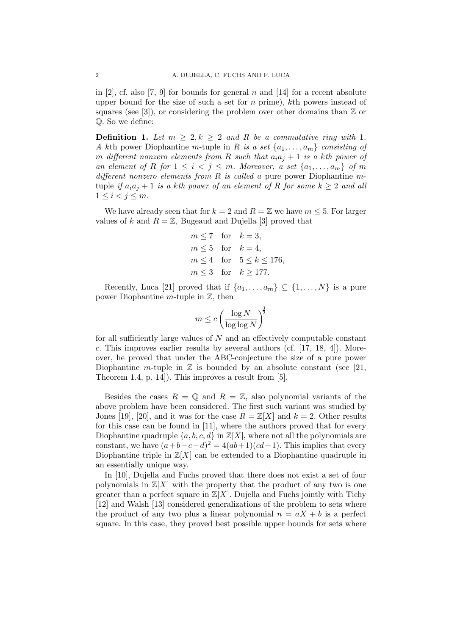in [2], cf. also [7, 9] for bounds for general n and [14] for a recent absolute upper bound for the size of such a set for  $n$  prime), kth powers instead of squares (see [3]), or considering the problem over other domains than  $\mathbb Z$  or Q. So we define:

**Definition 1.** Let  $m > 2, k > 2$  and R be a commutative ring with 1. A kth power Diophantine m-tuple in R is a set  $\{a_1, \ldots, a_m\}$  consisting of m different nonzero elements from R such that  $a_i a_j + 1$  is a kth power of an element of R for  $1 \leq i \leq j \leq m$ . Moreover, a set  $\{a_1, \ldots, a_m\}$  of m different nonzero elements from  $R$  is called a pure power Diophantine mtuple if  $a_i a_j + 1$  is a kth power of an element of R for some  $k \geq 2$  and all  $1 \leq i < j \leq m$ .

We have already seen that for  $k = 2$  and  $R = \mathbb{Z}$  we have  $m \leq 5$ . For larger values of k and  $R = \mathbb{Z}$ , Bugeaud and Dujella [3] proved that

$$
m \le 7 \quad \text{for} \quad k = 3,
$$
  
\n
$$
m \le 5 \quad \text{for} \quad k = 4,
$$
  
\n
$$
m \le 4 \quad \text{for} \quad 5 \le k \le 176,
$$
  
\n
$$
m \le 3 \quad \text{for} \quad k \ge 177.
$$

Recently, Luca [21] proved that if  $\{a_1, \ldots, a_m\} \subseteq \{1, \ldots, N\}$  is a pure power Diophantine  $m$ -tuple in  $\mathbb{Z}$ , then

$$
m \le c \left(\frac{\log N}{\log \log N}\right)^{\frac{3}{2}}
$$

for all sufficiently large values of  $N$  and an effectively computable constant c. This improves earlier results by several authors (cf.  $[17, 18, 4]$ ). Moreover, he proved that under the ABC-conjecture the size of a pure power Diophantine m-tuple in  $\mathbb Z$  is bounded by an absolute constant (see [21, Theorem 1.4, p. 14]). This improves a result from [5].

Besides the cases  $R = \mathbb{Q}$  and  $R = \mathbb{Z}$ , also polynomial variants of the above problem have been considered. The first such variant was studied by Jones [19], [20], and it was for the case  $R = \mathbb{Z}[X]$  and  $k = 2$ . Other results for this case can be found in [11], where the authors proved that for every Diophantine quadruple  $\{a, b, c, d\}$  in  $\mathbb{Z}[X]$ , where not all the polynomials are constant, we have  $(a+b-c-d)^2 = 4(ab+1)(cd+1)$ . This implies that every Diophantine triple in  $\mathbb{Z}[X]$  can be extended to a Diophantine quadruple in an essentially unique way.

In [10], Dujella and Fuchs proved that there does not exist a set of four polynomials in  $\mathbb{Z}[X]$  with the property that the product of any two is one greater than a perfect square in  $\mathbb{Z}[X]$ . Dujella and Fuchs jointly with Tichy [12] and Walsh [13] considered generalizations of the problem to sets where the product of any two plus a linear polynomial  $n = aX + b$  is a perfect square. In this case, they proved best possible upper bounds for sets where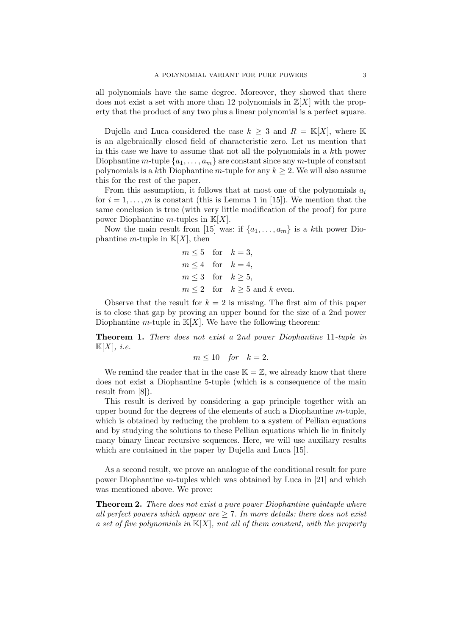all polynomials have the same degree. Moreover, they showed that there does not exist a set with more than 12 polynomials in  $\mathbb{Z}[X]$  with the property that the product of any two plus a linear polynomial is a perfect square.

Dujella and Luca considered the case  $k \geq 3$  and  $R = \mathbb{K}[X]$ , where K is an algebraically closed field of characteristic zero. Let us mention that in this case we have to assume that not all the polynomials in a kth power Diophantine m-tuple  $\{a_1, \ldots, a_m\}$  are constant since any m-tuple of constant polynomials is a kth Diophantine m-tuple for any  $k > 2$ . We will also assume this for the rest of the paper.

From this assumption, it follows that at most one of the polynomials  $a_i$ for  $i = 1, \ldots, m$  is constant (this is Lemma 1 in [15]). We mention that the same conclusion is true (with very little modification of the proof) for pure power Diophantine *m*-tuples in  $K[X]$ .

Now the main result from [15] was: if  $\{a_1, \ldots, a_m\}$  is a kth power Diophantine *m*-tuple in  $K[X]$ , then

$$
m \leq 5 \quad \text{for} \quad k = 3,
$$
  
\n
$$
m \leq 4 \quad \text{for} \quad k = 4,
$$
  
\n
$$
m \leq 3 \quad \text{for} \quad k \geq 5,
$$
  
\n
$$
m \leq 2 \quad \text{for} \quad k \geq 5 \text{ and } k \text{ even.}
$$

Observe that the result for  $k = 2$  is missing. The first aim of this paper is to close that gap by proving an upper bound for the size of a 2nd power Diophantine m-tuple in  $K[X]$ . We have the following theorem:

Theorem 1. There does not exist a 2nd power Diophantine 11-tuple in  $\mathbb{K}[X], i.e.$ 

$$
m \le 10 \quad \text{for} \quad k = 2.
$$

We remind the reader that in the case  $\mathbb{K} = \mathbb{Z}$ , we already know that there does not exist a Diophantine 5-tuple (which is a consequence of the main result from [8]).

This result is derived by considering a gap principle together with an upper bound for the degrees of the elements of such a Diophantine  $m$ -tuple, which is obtained by reducing the problem to a system of Pellian equations and by studying the solutions to these Pellian equations which lie in finitely many binary linear recursive sequences. Here, we will use auxiliary results which are contained in the paper by Dujella and Luca [15].

As a second result, we prove an analogue of the conditional result for pure power Diophantine m-tuples which was obtained by Luca in [21] and which was mentioned above. We prove:

**Theorem 2.** There does not exist a pure power Diophantine quintuple where all perfect powers which appear are  $\geq 7$ . In more details: there does not exist a set of five polynomials in  $\mathbb{K}[X]$ , not all of them constant, with the property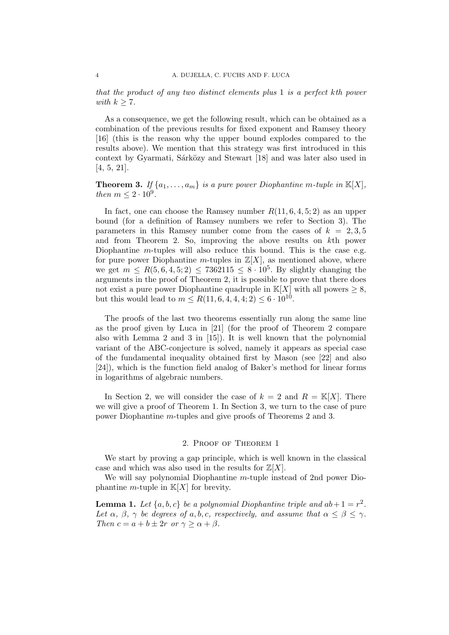that the product of any two distinct elements plus 1 is a perfect kth power with  $k \geq 7$ .

As a consequence, we get the following result, which can be obtained as a combination of the previous results for fixed exponent and Ramsey theory [16] (this is the reason why the upper bound explodes compared to the results above). We mention that this strategy was first introduced in this context by Gyarmati, Sárközy and Stewart [18] and was later also used in [4, 5, 21].

**Theorem 3.** If  $\{a_1, \ldots, a_m\}$  is a pure power Diophantine m-tuple in  $\mathbb{K}[X]$ , then  $m \leq 2 \cdot 10^9$ .

In fact, one can choose the Ramsey number  $R(11, 6, 4, 5; 2)$  as an upper bound (for a definition of Ramsey numbers we refer to Section 3). The parameters in this Ramsey number come from the cases of  $k = 2, 3, 5$ and from Theorem 2. So, improving the above results on kth power Diophantine *m*-tuples will also reduce this bound. This is the case e.g. for pure power Diophantine m-tuples in  $\mathbb{Z}[X]$ , as mentioned above, where we get  $m \le R(5, 6, 4, 5; 2) \le 7362115 \le 8 \cdot 10^5$ . By slightly changing the arguments in the proof of Theorem 2, it is possible to prove that there does not exist a pure power Diophantine quadruple in  $\mathbb{K}[X]$  with all powers  $\geq 8$ , but this would lead to  $m \leq R(11, 6, 4, 4, 4; 2) \leq 6 \cdot 10^{10}$ .

The proofs of the last two theorems essentially run along the same line as the proof given by Luca in [21] (for the proof of Theorem 2 compare also with Lemma 2 and 3 in [15]). It is well known that the polynomial variant of the ABC-conjecture is solved, namely it appears as special case of the fundamental inequality obtained first by Mason (see [22] and also [24]), which is the function field analog of Baker's method for linear forms in logarithms of algebraic numbers.

In Section 2, we will consider the case of  $k = 2$  and  $R = \mathbb{K}[X]$ . There we will give a proof of Theorem 1. In Section 3, we turn to the case of pure power Diophantine m-tuples and give proofs of Theorems 2 and 3.

### 2. Proof of Theorem 1

We start by proving a gap principle, which is well known in the classical case and which was also used in the results for  $\mathbb{Z}[X]$ .

We will say polynomial Diophantine m-tuple instead of 2nd power Diophantine *m*-tuple in  $\mathbb{K}[X]$  for brevity.

**Lemma 1.** Let  $\{a, b, c\}$  be a polynomial Diophantine triple and  $ab + 1 = r^2$ . Let  $\alpha$ ,  $\beta$ ,  $\gamma$  be degrees of a, b, c, respectively, and assume that  $\alpha \leq \beta \leq \gamma$ . Then  $c = a + b \pm 2r$  or  $\gamma \ge \alpha + \beta$ .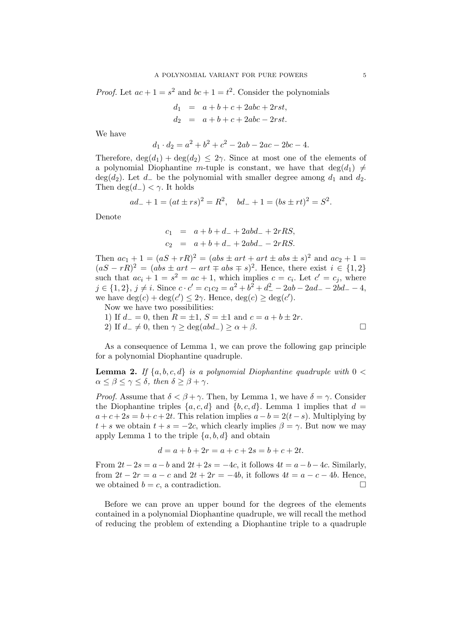*Proof.* Let  $ac + 1 = s^2$  and  $bc + 1 = t^2$ . Consider the polynomials

$$
d_1 = a + b + c + 2abc + 2rst,
$$
  
\n
$$
d_2 = a + b + c + 2abc - 2rst.
$$

We have

$$
d_1 \cdot d_2 = a^2 + b^2 + c^2 - 2ab - 2ac - 2bc - 4.
$$

Therefore,  $deg(d_1) + deg(d_2) \leq 2\gamma$ . Since at most one of the elements of a polynomial Diophantine m-tuple is constant, we have that  $\deg(d_1) \neq$ deg(d<sub>2</sub>). Let  $d_{-}$  be the polynomial with smaller degree among  $d_1$  and  $d_2$ . Then  $\deg(d_{-}) < \gamma$ . It holds

$$
ad_- + 1 = (at \pm rs)^2 = R^2
$$
,  $bd_- + 1 = (bs \pm rt)^2 = S^2$ .

Denote

$$
c_1 = a + b + d_- + 2abd_- + 2rRS,
$$
  
\n
$$
c_2 = a + b + d_- + 2abd_- - 2rRS.
$$

Then  $ac_1 + 1 = (aS + rR)^2 = (abs \pm art + art \pm abs \pm s)^2$  and  $ac_2 + 1 =$  $(aS - rR)^2 = (abs \pm art - art \mp abs \mp s)^2$ . Hence, there exist  $i \in \{1,2\}$ such that  $ac_i + 1 = s^2 = ac + 1$ , which implies  $c = c_i$ . Let  $c' = c_j$ , where  $j \in \{1, 2\}, j \neq i$ . Since  $c \cdot c' = c_1 c_2 = a^2 + b^2 + d^2 - 2ab - 2ad - 2bd - 4$ , we have  $deg(c) + deg(c') \leq 2\gamma$ . Hence,  $deg(c) \geq deg(c')$ .

Now we have two possibilities:

1) If  $d_ = 0$ , then  $R = \pm 1$ ,  $S = \pm 1$  and  $c = a + b \pm 2r$ .

2) If  $d_-\neq 0$ , then  $\gamma \geq \deg(abd_-) \geq \alpha + \beta$ .

As a consequence of Lemma 1, we can prove the following gap principle for a polynomial Diophantine quadruple.

**Lemma 2.** If  $\{a, b, c, d\}$  is a polynomial Diophantine quadruple with  $0 <$  $\alpha \leq \beta \leq \gamma \leq \delta$ , then  $\delta \geq \beta + \gamma$ .

*Proof.* Assume that  $\delta < \beta + \gamma$ . Then, by Lemma 1, we have  $\delta = \gamma$ . Consider the Diophantine triples  $\{a, c, d\}$  and  $\{b, c, d\}$ . Lemma 1 implies that  $d =$  $a + c + 2s = b + c + 2t$ . This relation implies  $a - b = 2(t - s)$ . Multiplying by  $t + s$  we obtain  $t + s = -2c$ , which clearly implies  $\beta = \gamma$ . But now we may apply Lemma 1 to the triple  $\{a, b, d\}$  and obtain

$$
d = a + b + 2r = a + c + 2s = b + c + 2t.
$$

From  $2t-2s = a-b$  and  $2t+2s = -4c$ , it follows  $4t = a-b-4c$ . Similarly, from  $2t - 2r = a - c$  and  $2t + 2r = -4b$ , it follows  $4t = a - c - 4b$ . Hence, we obtained  $b = c$ , a contradiction.

Before we can prove an upper bound for the degrees of the elements contained in a polynomial Diophantine quadruple, we will recall the method of reducing the problem of extending a Diophantine triple to a quadruple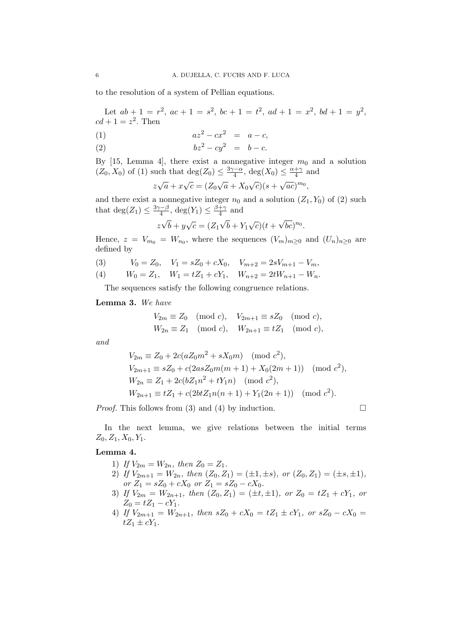to the resolution of a system of Pellian equations.

Let  $ab + 1 = r^2$ ,  $ac + 1 = s^2$ ,  $bc + 1 = t^2$ ,  $ad + 1 = x^2$ ,  $bd + 1 = y^2$ ,  $cd+1=z^2$ . Then

(1) 
$$
az^2 - cx^2 = a - c,
$$

$$
(2) \t\t\t bz2 - cy2 = b - c.
$$

By [15, Lemma 4], there exist a nonnegative integer  $m_0$  and a solution  $(Z_0, X_0)$  of (1) such that  $deg(Z_0) \leq \frac{3\gamma - \alpha}{4}$  $\frac{\alpha-\alpha}{4}$ , deg( $X_0$ )  $\leq \frac{\alpha+\gamma}{4}$  $rac{+\gamma}{4}$  and

$$
z\sqrt{a} + x\sqrt{c} = (Z_0\sqrt{a} + X_0\sqrt{c})(s + \sqrt{ac})^{m_0},
$$

and there exist a nonnegative integer  $n_0$  and a solution  $(Z_1, Y_0)$  of  $(2)$  such that  $deg(Z_1) \leq \frac{3\gamma - \beta}{4}$  $\frac{\alpha-\beta}{4}$ , deg(Y<sub>1</sub>)  $\leq \frac{\beta+\gamma}{4}$  $rac{+\gamma}{4}$  and

$$
z\sqrt{b} + y\sqrt{c} = (Z_1\sqrt{b} + Y_1\sqrt{c})(t + \sqrt{bc})^{n_0}.
$$

Hence,  $z = V_{m_0} = W_{n_0}$ , where the sequences  $(V_m)_{m \geq 0}$  and  $(U_n)_{n \geq 0}$  are defined by

- (3)  $V_0 = Z_0$ ,  $V_1 = sZ_0 + cX_0$ ,  $V_{m+2} = 2sV_{m+1} V_m$ ,
- (4)  $W_0 = Z_1$ ,  $W_1 = tZ_1 + cY_1$ ,  $W_{n+2} = 2tW_{n+1} W_n$ .

The sequences satisfy the following congruence relations.

Lemma 3. We have

$$
V_{2m} \equiv Z_0 \pmod{c}, \quad V_{2m+1} \equiv sZ_0 \pmod{c},
$$
  

$$
W_{2n} \equiv Z_1 \pmod{c}, \quad W_{2n+1} \equiv tZ_1 \pmod{c},
$$

and

$$
V_{2m} \equiv Z_0 + 2c(aZ_0m^2 + sX_0m) \pmod{c^2},
$$
  
\n
$$
V_{2m+1} \equiv sZ_0 + c(2asZ_0m(m+1) + X_0(2m+1)) \pmod{c^2},
$$
  
\n
$$
W_{2n} \equiv Z_1 + 2c(bZ_1n^2 + tY_1n) \pmod{c^2},
$$
  
\n
$$
W_{2n+1} \equiv tZ_1 + c(2btZ_1n(n+1) + Y_1(2n+1)) \pmod{c^2}.
$$

*Proof.* This follows from (3) and (4) by induction.  $\Box$ 

In the next lemma, we give relations between the initial terms  $Z_0, Z_1, X_0, Y_1.$ 

## Lemma 4.

- 1) If  $V_{2m} = W_{2n}$ , then  $Z_0 = Z_1$ .
- 2) If  $V_{2m+1} = W_{2n}$ , then  $(Z_0, Z_1) = (\pm 1, \pm s)$ , or  $(Z_0, Z_1) = (\pm s, \pm 1)$ , or  $Z_1 = sZ_0 + cX_0$  or  $Z_1 = sZ_0 - cX_0$ .
- 3) If  $V_{2m} = W_{2n+1}$ , then  $(Z_0, Z_1) = (\pm i, \pm 1)$ , or  $Z_0 = tZ_1 + cY_1$ , or  $Z_0 = tZ_1 - cY_1.$
- 4) If  $V_{2m+1} = W_{2n+1}$ , then  $sZ_0 + cX_0 = tZ_1 \pm cY_1$ , or  $sZ_0 cX_0 =$  $tZ_1 \pm cY_1$ .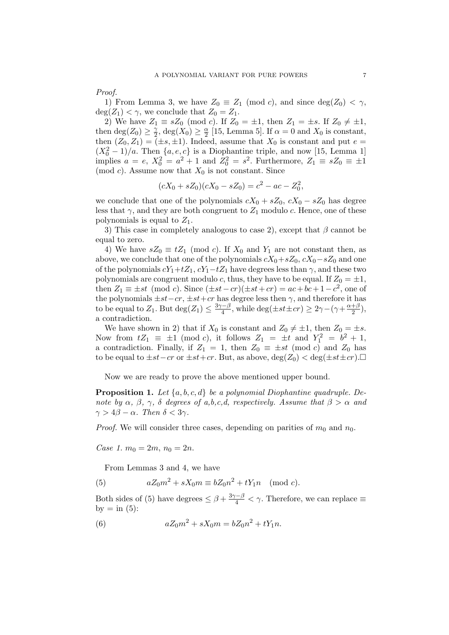Proof.

1) From Lemma 3, we have  $Z_0 \equiv Z_1 \pmod{c}$ , and since  $\deg(Z_0) < \gamma$ ,  $deg(Z_1) < \gamma$ , we conclude that  $Z_0 = Z_1$ .

2) We have  $Z_1 \equiv sZ_0 \pmod{c}$ . If  $Z_0 = \pm 1$ , then  $Z_1 = \pm s$ . If  $Z_0 \neq \pm 1$ , then deg( $Z_0$ )  $\geq \frac{\gamma}{2}$  $\frac{\gamma}{2}$ , deg(X<sub>0</sub>)  $\geq \frac{\alpha}{2}$  $\frac{\alpha}{2}$  [15, Lemma 5]. If  $\alpha = 0$  and  $X_0$  is constant, then  $(Z_0, Z_1) = (\pm s, \pm 1)$ . Indeed, assume that  $X_0$  is constant and put  $e =$  $(X_0^2 - 1)/a$ . Then  $\{a, e, c\}$  is a Diophantine triple, and now [15, Lemma 1] implies  $a = e$ ,  $X_0^2 = a^2 + 1$  and  $Z_0^2 = s^2$ . Furthermore,  $Z_1 \equiv sZ_0 \equiv \pm 1$ (mod c). Assume now that  $X_0$  is not constant. Since

$$
(cX0 + sZ0)(cX0 - sZ0) = c2 - ac - Z02,
$$

we conclude that one of the polynomials  $cX_0 + sZ_0$ ,  $cX_0 - sZ_0$  has degree less that  $\gamma$ , and they are both congruent to  $Z_1$  modulo c. Hence, one of these polynomials is equal to  $Z_1$ .

3) This case in completely analogous to case 2), except that  $\beta$  cannot be equal to zero.

4) We have  $sZ_0 \equiv tZ_1 \pmod{c}$ . If  $X_0$  and  $Y_1$  are not constant then, as above, we conclude that one of the polynomials  $cX_0+sZ_0$ ,  $cX_0-sZ_0$  and one of the polynomials  $cY_1+tZ_1$ ,  $cY_1-tZ_1$  have degrees less than  $\gamma$ , and these two polynomials are congruent modulo c, thus, they have to be equal. If  $Z_0 = \pm 1$ , then  $Z_1 \equiv \pm st \pmod{c}$ . Since  $(\pm st - cr)(\pm st + cr) = ac + bc + 1 - c^2$ , one of the polynomials  $\pm st-cr, \pm st+cr$  has degree less then  $\gamma$ , and therefore it has to be equal to  $Z_1$ . But  $deg(Z_1) \leq \frac{3\gamma-\beta}{4}$  $\frac{d-1}{4}$ , while deg( $\pm st \pm cr$ ) ≥ 2 $\gamma$  – ( $\gamma + \frac{\alpha+\beta}{2}$  $\frac{+\rho}{2}$ ), a contradiction.

We have shown in 2) that if  $X_0$  is constant and  $Z_0 \neq \pm 1$ , then  $Z_0 = \pm s$ . Now from  $tZ_1 \equiv \pm 1 \pmod{c}$ , it follows  $Z_1 = \pm t \text{ and } Y_1^2 = b^2 + 1$ , a contradiction. Finally, if  $Z_1 = 1$ , then  $Z_0 \equiv \pm st \pmod{c}$  and  $Z_0$  has to be equal to  $\pm st-cr$  or  $\pm st+cr$ . But, as above,  $\deg(Z_0) < \deg(\pm st \pm cr)$ .

Now we are ready to prove the above mentioned upper bound.

**Proposition 1.** Let  $\{a, b, c, d\}$  be a polynomial Diophantine quadruple. Denote by  $\alpha$ ,  $\beta$ ,  $\gamma$ ,  $\delta$  degrees of a,b,c,d, respectively. Assume that  $\beta > \alpha$  and  $\gamma > 4\beta - \alpha$ . Then  $\delta < 3\gamma$ .

*Proof.* We will consider three cases, depending on parities of  $m_0$  and  $n_0$ .

Case 1.  $m_0 = 2m$ ,  $n_0 = 2n$ .

From Lemmas 3 and 4, we have

(5) 
$$
aZ_0m^2 + sX_0m \equiv bZ_0n^2 + tY_1n \pmod{c}.
$$

Both sides of (5) have degrees  $\leq \beta + \frac{3\gamma - \beta}{4} < \gamma$ . Therefore, we can replace  $\equiv$ by  $=$  in (5):

(6) 
$$
aZ_0m^2 + sX_0m = bZ_0n^2 + tY_1n.
$$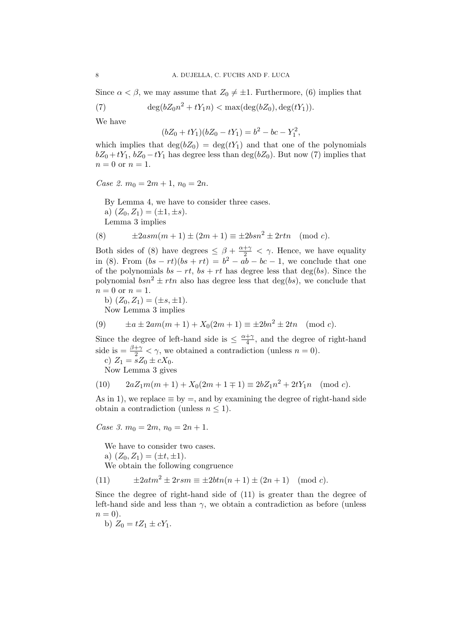Since  $\alpha < \beta$ , we may assume that  $Z_0 \neq \pm 1$ . Furthermore, (6) implies that

(7) 
$$
\deg(bZ_0n^2 + tY_1n) < \max(\deg(bZ_0), \deg(tY_1)).
$$

We have

$$
(bZ_0 + tY_1)(bZ_0 - tY_1) = b^2 - bc - Y_1^2,
$$

which implies that  $deg(bZ_0) = deg(tY_1)$  and that one of the polynomials  $bZ_0 + tY_1$ ,  $bZ_0 - tY_1$  has degree less than deg( $bZ_0$ ). But now (7) implies that  $n=0$  or  $n=1$ .

Case 2.  $m_0 = 2m + 1$ ,  $n_0 = 2n$ .

By Lemma 4, we have to consider three cases. a)  $(Z_0, Z_1) = (\pm 1, \pm s)$ . Lemma 3 implies

(8) 
$$
\pm 2asm(m+1) \pm (2m+1) \equiv \pm 2bsn^2 \pm 2rtn \pmod{c}
$$
.

Both sides of (8) have degrees  $\leq \beta + \frac{\alpha + \gamma}{2} < \gamma$ . Hence, we have equality in (8). From  $(bs - rt)(bs + rt) = b^2 - ab - bc - 1$ , we conclude that one of the polynomials  $bs - rt$ ,  $bs + rt$  has degree less that deg(bs). Since the polynomial  $bsn^2 \pm rtn$  also has degree less that deg(bs), we conclude that  $n = 0$  or  $n = 1$ .

b)  $(Z_0, Z_1) = (\pm s, \pm 1).$ Now Lemma 3 implies

(9) 
$$
\pm a \pm 2am(m+1) + X_0(2m+1) \equiv \pm 2bn^2 \pm 2tn \pmod{c}
$$
.

Since the degree of left-hand side is  $\leq \frac{\alpha + \gamma}{4}$  $\frac{+ \gamma}{4}$ , and the degree of right-hand side is  $=$   $\frac{\beta+\gamma}{2} < \gamma$ , we obtained a contradiction (unless  $n = 0$ ).

c)  $Z_1 = sZ_0 \pm cX_0$ .

Now Lemma 3 gives

(10) 
$$
2aZ_1m(m+1) + X_0(2m+1 \mp 1) \equiv 2bZ_1n^2 + 2tY_1n \pmod{c}.
$$

As in 1), we replace  $\equiv$  by  $=$ , and by examining the degree of right-hand side obtain a contradiction (unless  $n \leq 1$ ).

Case 3.  $m_0 = 2m$ ,  $n_0 = 2n + 1$ .

We have to consider two cases.

a)  $(Z_0, Z_1) = (\pm t, \pm 1).$ 

We obtain the following congruence

(11)  $\pm 2atm^2 \pm 2rsm \equiv \pm 2btn(n+1) \pm (2n+1) \pmod{c}$ .

Since the degree of right-hand side of (11) is greater than the degree of left-hand side and less than  $\gamma$ , we obtain a contradiction as before (unless  $n = 0$ ).

b) 
$$
Z_0 = tZ_1 \pm cY_1
$$
.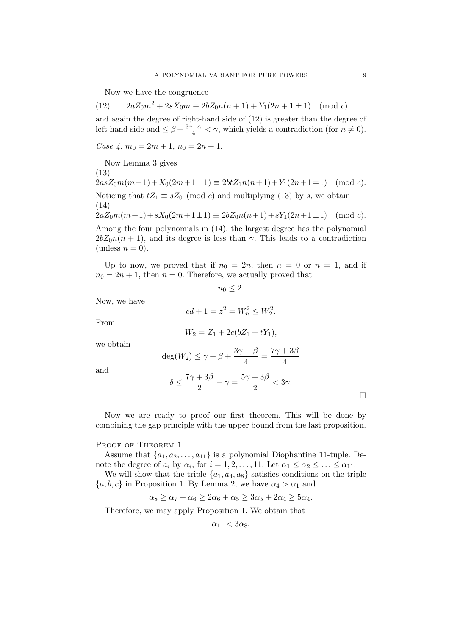Now we have the congruence

(12)  $2aZ_0m^2 + 2sX_0m \equiv 2bZ_0n(n+1) + Y_1(2n+1 \pm 1) \pmod{c}$ , and again the degree of right-hand side of (12) is greater than the degree of left-hand side and  $\leq \beta + \frac{3\gamma - \alpha}{4} < \gamma$ , which yields a contradiction (for  $n \neq 0$ ).

Case  $\sqrt{4}$ .  $m_0 = 2m + 1$ ,  $n_0 = 2n + 1$ .

Now Lemma 3 gives (13)  $2asZ_0m(m+1)+X_0(2m+1\pm 1) \equiv 2btZ_1n(n+1)+Y_1(2n+1\mp 1) \pmod{c}.$ Noticing that  $tZ_1 \equiv sZ_0 \pmod{c}$  and multiplying (13) by s, we obtain (14)  $2aZ_0m(m+1)+sX_0(2m+1\pm 1) \equiv 2bZ_0n(n+1)+sY_1(2n+1\pm 1) \pmod{c}.$ 

Among the four polynomials in (14), the largest degree has the polynomial  $2bZ_0n(n + 1)$ , and its degree is less than  $\gamma$ . This leads to a contradiction (unless  $n = 0$ ).

Up to now, we proved that if  $n_0 = 2n$ , then  $n = 0$  or  $n = 1$ , and if  $n_0 = 2n + 1$ , then  $n = 0$ . Therefore, we actually proved that

$$
n_0\leq 2.
$$

Now, we have

$$
cd + 1 = z^2 = W_n^2 \le W_2^2.
$$

From

$$
W_2 = Z_1 + 2c(bZ_1 + tY_1),
$$

we obtain

$$
deg(W_2) \le \gamma + \beta + \frac{3\gamma - \beta}{4} = \frac{7\gamma + 3\beta}{4}
$$

 $\frac{+3\beta}{2} - \gamma = \frac{5\gamma + 3\beta}{2}$ 

 $\frac{1}{2}$   $\frac{3\gamma}{2}$  <  $3\gamma$ .

and

Now we are ready to proof our first theorem. This will be done by combining the gap principle with the upper bound from the last proposition.

### PROOF OF THEOREM 1.

Assume that  $\{a_1, a_2, \ldots, a_{11}\}$  is a polynomial Diophantine 11-tuple. Denote the degree of  $a_i$  by  $\alpha_i$ , for  $i = 1, 2, ..., 11$ . Let  $\alpha_1 \leq \alpha_2 \leq ... \leq \alpha_{11}$ .

We will show that the triple  $\{a_1, a_4, a_8\}$  satisfies conditions on the triple  $\{a, b, c\}$  in Proposition 1. By Lemma 2, we have  $\alpha_4 > \alpha_1$  and

$$
\alpha_8 \ge \alpha_7 + \alpha_6 \ge 2\alpha_6 + \alpha_5 \ge 3\alpha_5 + 2\alpha_4 \ge 5\alpha_4.
$$

Therefore, we may apply Proposition 1. We obtain that

 $\delta \leq \frac{7\gamma+3\beta}{2}$ 

$$
\alpha_{11} < 3\alpha_8.
$$

¤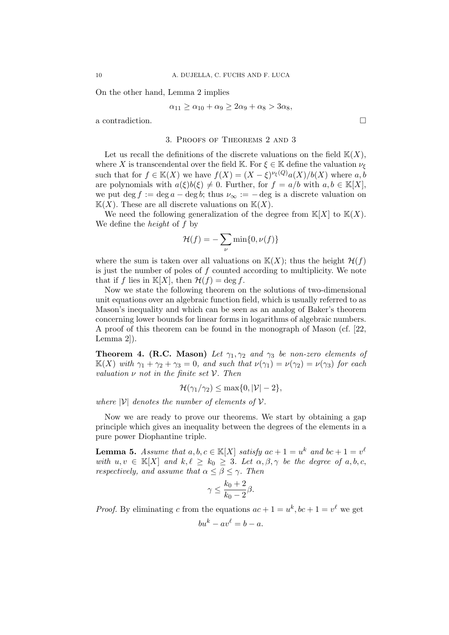On the other hand, Lemma 2 implies

$$
\alpha_{11} \ge \alpha_{10} + \alpha_9 \ge 2\alpha_9 + \alpha_8 > 3\alpha_8,
$$

a contradiction.  $\Box$ 

### 3. Proofs of Theorems 2 and 3

Let us recall the definitions of the discrete valuations on the field  $K(X)$ , where X is transcendental over the field K. For  $\xi \in \mathbb{K}$  define the valuation  $\nu_{\xi}$ such that for  $f \in K(X)$  we have  $f(X) = (X - \xi)^{\nu_{\xi}(Q)} a(X)/b(X)$  where a, b are polynomials with  $a(\xi)b(\xi) \neq 0$ . Further, for  $f = a/b$  with  $a, b \in \mathbb{K}[X]$ , we put deg  $f := \deg a - \deg b$ ; thus  $\nu_{\infty} := - \deg$  is a discrete valuation on  $K(X)$ . These are all discrete valuations on  $K(X)$ .

We need the following generalization of the degree from  $K[X]$  to  $K(X)$ . We define the height of f by

$$
\mathcal{H}(f) = -\sum_{\nu} \min\{0, \nu(f)\}
$$

where the sum is taken over all valuations on  $K(X)$ ; thus the height  $\mathcal{H}(f)$ is just the number of poles of  $f$  counted according to multiplicity. We note that if f lies in  $\mathbb{K}[X]$ , then  $\mathcal{H}(f) = \deg f$ .

Now we state the following theorem on the solutions of two-dimensional unit equations over an algebraic function field, which is usually referred to as Mason's inequality and which can be seen as an analog of Baker's theorem concerning lower bounds for linear forms in logarithms of algebraic numbers. A proof of this theorem can be found in the monograph of Mason (cf. [22, Lemma 2]).

**Theorem 4. (R.C. Mason)** Let  $\gamma_1, \gamma_2$  and  $\gamma_3$  be non-zero elements of  $\mathbb{K}(X)$  with  $\gamma_1 + \gamma_2 + \gamma_3 = 0$ , and such that  $\nu(\gamma_1) = \nu(\gamma_2) = \nu(\gamma_3)$  for each valuation  $\nu$  not in the finite set  $\nu$ . Then

$$
\mathcal{H}(\gamma_1/\gamma_2) \leq \max\{0, |\mathcal{V}|-2\},\
$$

where  $|V|$  denotes the number of elements of V.

Now we are ready to prove our theorems. We start by obtaining a gap principle which gives an inequality between the degrees of the elements in a pure power Diophantine triple.

**Lemma 5.** Assume that  $a, b, c \in \mathbb{K}[X]$  satisfy  $ac + 1 = u^k$  and  $bc + 1 = v^{\ell}$ with  $u, v \in \mathbb{K}[X]$  and  $k, \ell \geq k_0 \geq 3$ . Let  $\alpha, \beta, \gamma$  be the degree of a, b, c, respectively, and assume that  $\alpha \leq \beta \leq \gamma$ . Then

$$
\gamma \le \frac{k_0 + 2}{k_0 - 2}\beta.
$$

*Proof.* By eliminating c from the equations  $ac + 1 = u^k$ ,  $bc + 1 = v^{\ell}$  we get

$$
bu^k - av^\ell = b - a.
$$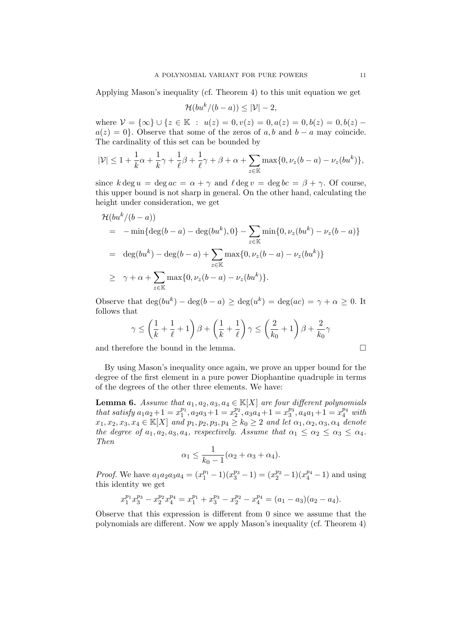Applying Mason's inequality (cf. Theorem 4) to this unit equation we get

$$
\mathcal{H}(bu^k/(b-a)) \le |\mathcal{V}| - 2,
$$

where  $\mathcal{V} = {\infty} \cup {\{z \in \mathbb{K} : u(z) = 0, v(z) = 0, a(z) = 0, b(z) = 0, b(z) = 0\}}$  $a(z) = 0$ . Observe that some of the zeros of a, b and b – a may coincide. The cardinality of this set can be bounded by

$$
|\mathcal{V}| \leq 1 + \frac{1}{k}\alpha + \frac{1}{k}\gamma + \frac{1}{\ell}\beta + \frac{1}{\ell}\gamma + \beta + \alpha + \sum_{z \in \mathbb{K}} \max\{0, \nu_z(b-a) - \nu_z(bu^k)\},\
$$

since  $k \deg u = \deg ac = \alpha + \gamma$  and  $\ell \deg v = \deg bc = \beta + \gamma$ . Of course, this upper bound is not sharp in general. On the other hand, calculating the height under consideration, we get

$$
\mathcal{H}(bu^k/(b-a))
$$
\n
$$
= -\min\{\deg(b-a) - \deg(bu^k), 0\} - \sum_{z \in \mathbb{K}} \min\{0, \nu_z(bu^k) - \nu_z(b-a)\}
$$
\n
$$
= \deg(bu^k) - \deg(b-a) + \sum_{z \in \mathbb{K}} \max\{0, \nu_z(b-a) - \nu_z(bu^k)\}
$$
\n
$$
\geq \gamma + \alpha + \sum_{z \in \mathbb{K}} \max\{0, \nu_z(b-a) - \nu_z(bu^k)\}.
$$

Observe that  $\deg(bu^k) - \deg(b-a) \geq \deg(u^k) = \deg(ac) = \gamma + \alpha \geq 0$ . It follows that

$$
\gamma \le \left(\frac{1}{k} + \frac{1}{\ell} + 1\right)\beta + \left(\frac{1}{k} + \frac{1}{\ell}\right)\gamma \le \left(\frac{2}{k_0} + 1\right)\beta + \frac{2}{k_0}\gamma
$$

and therefore the bound in the lemma.  $\Box$ 

By using Mason's inequality once again, we prove an upper bound for the degree of the first element in a pure power Diophantine quadruple in terms of the degrees of the other three elements. We have:

**Lemma 6.** Assume that  $a_1, a_2, a_3, a_4 \in K[X]$  are four different polynomials that satisfy  $a_1a_2+1=x_1^{p_1}$  $x_1^{p_1}, a_2a_3+1=x_2^{p_2}$  $x_2^{p_2}, a_3a_4+1=x_3^{p_3}$  $a_3^{p_3}, a_4a_1+1=x_4^{p_4}$  with  $x_1, x_2, x_3, x_4 \in \mathbb{K}[X]$  and  $p_1, p_2, p_3, p_4 \geq k_0 \geq 2$  and let  $\alpha_1, \alpha_2, \alpha_3, \alpha_4$  denote the degree of  $a_1, a_2, a_3, a_4$ , respectively. Assume that  $\alpha_1 \leq \alpha_2 \leq \alpha_3 \leq \alpha_4$ . Then

$$
\alpha_1 \leq \frac{1}{k_0 - 1} (\alpha_2 + \alpha_3 + \alpha_4).
$$

*Proof.* We have  $a_1a_2a_3a_4 = (x_1^{p_1} - 1)(x_3^{p_3} - 1) = (x_2^{p_2} - 1)(x_4^{p_4} - 1)$  and using this identity we get

$$
x_1^{p_1}x_3^{p_3} - x_2^{p_2}x_4^{p_4} = x_1^{p_1} + x_3^{p_3} - x_2^{p_2} - x_4^{p_4} = (a_1 - a_3)(a_2 - a_4).
$$

Observe that this expression is different from 0 since we assume that the polynomials are different. Now we apply Mason's inequality (cf. Theorem 4)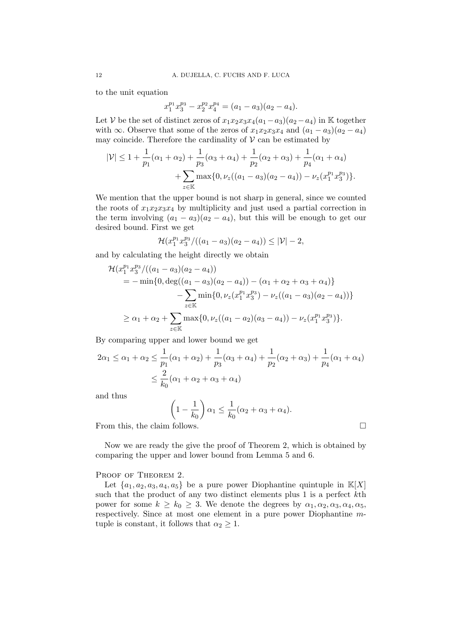to the unit equation

$$
x_1^{p_1} x_3^{p_3} - x_2^{p_2} x_4^{p_4} = (a_1 - a_3)(a_2 - a_4).
$$

Let V be the set of distinct zeros of  $x_1x_2x_3x_4(a_1-a_3)(a_2-a_4)$  in K together with ∞. Observe that some of the zeros of  $x_1x_2x_3x_4$  and  $(a_1 - a_3)(a_2 - a_4)$ may coincide. Therefore the cardinality of  $V$  can be estimated by

$$
|\mathcal{V}| \le 1 + \frac{1}{p_1}(\alpha_1 + \alpha_2) + \frac{1}{p_3}(\alpha_3 + \alpha_4) + \frac{1}{p_2}(\alpha_2 + \alpha_3) + \frac{1}{p_4}(\alpha_1 + \alpha_4) + \sum_{z \in \mathbb{K}} \max\{0, \nu_z((a_1 - a_3)(a_2 - a_4)) - \nu_z(x_1^{p_1}x_3^{p_3})\}.
$$

We mention that the upper bound is not sharp in general, since we counted the roots of  $x_1x_2x_3x_4$  by multiplicity and just used a partial correction in the term involving  $(a_1 - a_3)(a_2 - a_4)$ , but this will be enough to get our desired bound. First we get

$$
\mathcal{H}(x_1^{p_1}x_3^{p_3}/((a_1-a_3)(a_2-a_4)) \le |\mathcal{V}|-2,
$$

and by calculating the height directly we obtain

$$
\mathcal{H}(x_1^{p_1} x_3^{p_3}/((a_1 - a_3)(a_2 - a_4))
$$
  
=  $-\min\{0, \deg((a_1 - a_3)(a_2 - a_4)) - (\alpha_1 + \alpha_2 + \alpha_3 + \alpha_4)\}\$   
 $-\sum_{z \in \mathbb{K}} \min\{0, \nu_z(x_1^{p_1} x_3^{p_3}) - \nu_z((a_1 - a_3)(a_2 - a_4))\}\$   
 $\geq \alpha_1 + \alpha_2 + \sum_{z \in \mathbb{K}} \max\{0, \nu_z((a_1 - a_2)(a_3 - a_4)) - \nu_z(x_1^{p_1} x_3^{p_3})\}.$ 

By comparing upper and lower bound we get

$$
2\alpha_1 \le \alpha_1 + \alpha_2 \le \frac{1}{p_1}(\alpha_1 + \alpha_2) + \frac{1}{p_3}(\alpha_3 + \alpha_4) + \frac{1}{p_2}(\alpha_2 + \alpha_3) + \frac{1}{p_4}(\alpha_1 + \alpha_4)
$$
  

$$
\le \frac{2}{k_0}(\alpha_1 + \alpha_2 + \alpha_3 + \alpha_4)
$$

and thus

$$
\left(1 - \frac{1}{k_0}\right)\alpha_1 \le \frac{1}{k_0}(\alpha_2 + \alpha_3 + \alpha_4).
$$

From this, the claim follows.  $\Box$ 

Now we are ready the give the proof of Theorem 2, which is obtained by comparing the upper and lower bound from Lemma 5 and 6.

### PROOF OF THEOREM 2.

Let  $\{a_1, a_2, a_3, a_4, a_5\}$  be a pure power Diophantine quintuple in  $\mathbb{K}[X]$ such that the product of any two distinct elements plus 1 is a perfect kth power for some  $k \geq k_0 \geq 3$ . We denote the degrees by  $\alpha_1, \alpha_2, \alpha_3, \alpha_4, \alpha_5$ , respectively. Since at most one element in a pure power Diophantine mtuple is constant, it follows that  $\alpha_2 \geq 1$ .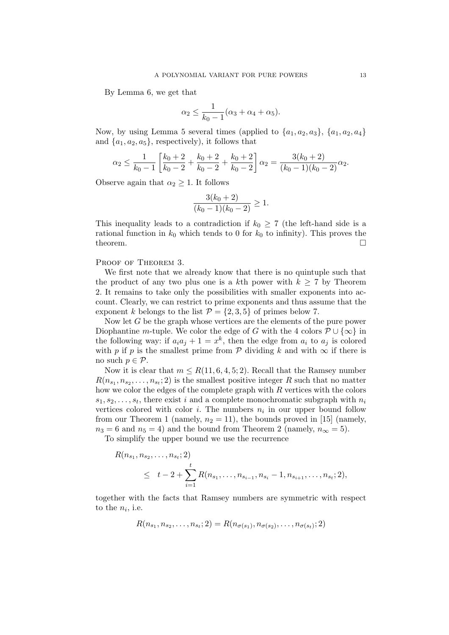By Lemma 6, we get that

$$
\alpha_2 \leq \frac{1}{k_0 - 1} (\alpha_3 + \alpha_4 + \alpha_5).
$$

Now, by using Lemma 5 several times (applied to  $\{a_1, a_2, a_3\}$ ,  $\{a_1, a_2, a_4\}$ and  $\{a_1, a_2, a_5\}$ , respectively), it follows that

$$
\alpha_2 \le \frac{1}{k_0 - 1} \left[ \frac{k_0 + 2}{k_0 - 2} + \frac{k_0 + 2}{k_0 - 2} + \frac{k_0 + 2}{k_0 - 2} \right] \alpha_2 = \frac{3(k_0 + 2)}{(k_0 - 1)(k_0 - 2)} \alpha_2.
$$

Observe again that  $\alpha_2 \geq 1$ . It follows

$$
\frac{3(k_0+2)}{(k_0-1)(k_0-2)}\geq 1.
$$

This inequality leads to a contradiction if  $k_0 \geq 7$  (the left-hand side is a rational function in  $k_0$  which tends to 0 for  $k_0$  to infinity). This proves the theorem.  $\Box$ 

PROOF OF THEOREM 3.

We first note that we already know that there is no quintuple such that the product of any two plus one is a kth power with  $k \geq 7$  by Theorem 2. It remains to take only the possibilities with smaller exponents into account. Clearly, we can restrict to prime exponents and thus assume that the exponent k belongs to the list  $\mathcal{P} = \{2, 3, 5\}$  of primes below 7.

Now let G be the graph whose vertices are the elements of the pure power Diophantine m-tuple. We color the edge of G with the 4 colors  $\mathcal{P} \cup \{\infty\}$  in the following way: if  $a_i a_j + 1 = x^k$ , then the edge from  $a_i$  to  $a_j$  is colored with p if p is the smallest prime from  $\mathcal P$  dividing k and with  $\infty$  if there is no such  $p \in \mathcal{P}$ .

Now it is clear that  $m \leq R(11, 6, 4, 5, 2)$ . Recall that the Ramsey number  $R(n_{s_1}, n_{s_2}, \ldots, n_{s_t}; 2)$  is the smallest positive integer R such that no matter how we color the edges of the complete graph with  $R$  vertices with the colors  $s_1, s_2, \ldots, s_t$ , there exist i and a complete monochromatic subgraph with  $n_i$ vertices colored with color *i*. The numbers  $n_i$  in our upper bound follow from our Theorem 1 (namely,  $n_2 = 11$ ), the bounds proved in [15] (namely,  $n_3 = 6$  and  $n_5 = 4$ ) and the bound from Theorem 2 (namely,  $n_{\infty} = 5$ ).

To simplify the upper bound we use the recurrence

$$
R(n_{s_1}, n_{s_2}, \dots, n_{s_t}; 2)
$$
  
\n
$$
\leq t - 2 + \sum_{i=1}^t R(n_{s_1}, \dots, n_{s_{i-1}}, n_{s_i} - 1, n_{s_{i+1}}, \dots, n_{s_t}; 2),
$$

together with the facts that Ramsey numbers are symmetric with respect to the  $n_i$ , i.e.

$$
R(n_{s_1}, n_{s_2}, \ldots, n_{s_t}; 2) = R(n_{\sigma(s_1)}, n_{\sigma(s_2)}, \ldots, n_{\sigma(s_t)}; 2)
$$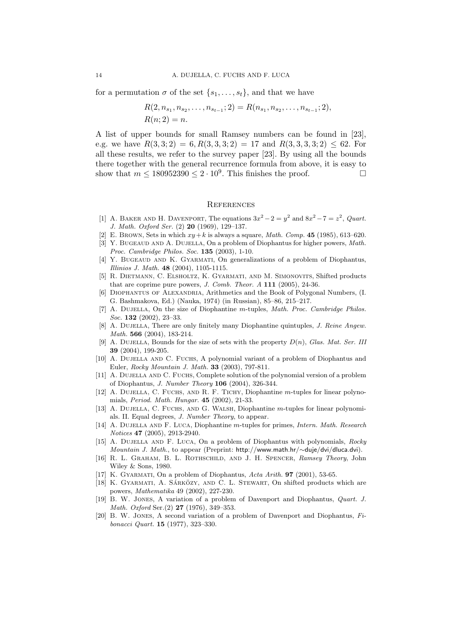for a permutation  $\sigma$  of the set  $\{s_1, \ldots, s_t\}$ , and that we have

$$
R(2, n_{s_1}, n_{s_2}, \ldots, n_{s_{t-1}}; 2) = R(n_{s_1}, n_{s_2}, \ldots, n_{s_{t-1}}; 2),
$$
  

$$
R(n; 2) = n.
$$

A list of upper bounds for small Ramsey numbers can be found in [23], e.g. we have  $R(3,3;2) = 6, R(3,3,3;2) = 17$  and  $R(3,3,3,3;2) \leq 62$ . For all these results, we refer to the survey paper [23]. By using all the bounds there together with the general recurrence formula from above, it is easy to show that  $m \leq 180952390 \leq 2 \cdot 10^9$ . This finishes the proof.

#### **REFERENCES**

- [1] A. BAKER AND H. DAVENPORT, The equations  $3x^2 2 = y^2$  and  $8x^2 7 = z^2$ , *Quart.* J. Math. Oxford Ser. (2) 20 (1969), 129–137.
- [2] E. BROWN, Sets in which  $xy+k$  is always a square, *Math. Comp.* **45** (1985), 613–620.
- [3] Y. BUGEAUD AND A. DUJELLA, On a problem of Diophantus for higher powers, Math. Proc. Cambridge Philos. Soc. 135 (2003), 1-10.
- [4] Y. BUGEAUD AND K. GYARMATI, On generalizations of a problem of Diophantus, Illinios J. Math. 48 (2004), 1105-1115.
- [5] R. Dietmann, C. Elsholtz, K. Gyarmati, and M. Simonovits, Shifted products that are coprime pure powers, J. Comb. Theor. A 111 (2005), 24-36.
- [6] Diophantus of Alexandria, Arithmetics and the Book of Polygonal Numbers, (I. G. Bashmakova, Ed.) (Nauka, 1974) (in Russian), 85–86, 215–217.
- [7] A. DUJELLA, On the size of Diophantine m-tuples, Math. Proc. Cambridge Philos. Soc. 132 (2002), 23–33.
- [8] A. DUJELLA, There are only finitely many Diophantine quintuples, J. Reine Angew. Math. 566 (2004), 183-214.
- [9] A. DUJELLA, Bounds for the size of sets with the property  $D(n)$ , Glas. Mat. Ser. III 39 (2004), 199-205.
- [10] A. Dujella and C. Fuchs, A polynomial variant of a problem of Diophantus and Euler, Rocky Mountain J. Math. 33 (2003), 797-811.
- [11] A. DUJELLA AND C. FUCHS, Complete solution of the polynomial version of a problem of Diophantus, J. Number Theory 106 (2004), 326-344.
- [12] A. DUJELLA, C. FUCHS, AND R. F. TICHY, Diophantine m-tuples for linear polynomials, Period. Math. Hungar. 45 (2002), 21-33.
- [13] A. DUJELLA, C. FUCHS, AND G. WALSH, Diophantine m-tuples for linear polynomials. II. Equal degrees, J. Number Theory, to appear.
- [14] A. DUJELLA AND F. LUCA, Diophantine m-tuples for primes, *Intern. Math. Research* Notices 47 (2005), 2913-2940.
- [15] A. DUJELLA AND F. LUCA, On a problem of Diophantus with polynomials, Rocky Mountain J. Math., to appear (Preprint: http://www.math.hr/∼duje/dvi/dluca.dvi).
- [16] R. L. Graham, B. L. Rothschild, and J. H. Spencer, Ramsey Theory, John Wiley & Sons, 1980.
- [17] K. GYARMATI, On a problem of Diophantus,  $Acta \, Arith.$  **97** (2001), 53-65.
- [18] K. GYARMATI, A. SÁRKÖZY, AND C. L. STEWART, On shifted products which are powers, Mathematika 49 (2002), 227-230.
- [19] B. W. Jones, A variation of a problem of Davenport and Diophantus, Quart. J. Math. Oxford Ser.(2) 27 (1976), 349–353.
- [20] B. W. JONES, A second variation of a problem of Davenport and Diophantus,  $Fi$ bonacci Quart. 15 (1977), 323–330.